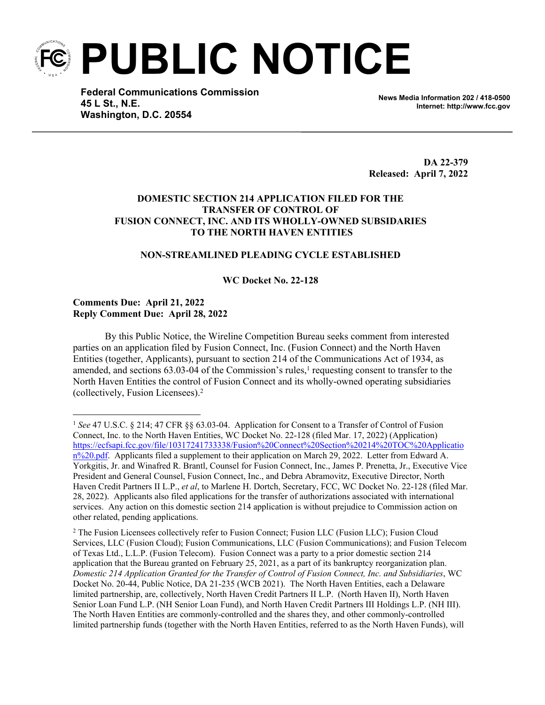**PUBLIC NOTICE**

**Federal Communications Commission 45 L St., N.E. Washington, D.C. 20554**

**News Media Information 202 / 418-0500 Internet: http://www.fcc.gov**

**DA 22-379 Released: April 7, 2022**

# **DOMESTIC SECTION 214 APPLICATION FILED FOR THE TRANSFER OF CONTROL OF FUSION CONNECT, INC. AND ITS WHOLLY-OWNED SUBSIDARIES TO THE NORTH HAVEN ENTITIES**

## **NON-STREAMLINED PLEADING CYCLE ESTABLISHED**

### **WC Docket No. 22-128**

### **Comments Due: April 21, 2022 Reply Comment Due: April 28, 2022**

By this Public Notice, the Wireline Competition Bureau seeks comment from interested parties on an application filed by Fusion Connect, Inc. (Fusion Connect) and the North Haven Entities (together, Applicants), pursuant to section 214 of the Communications Act of 1934, as amended, and sections  $63.03$ -04 of the Commission's rules,<sup>1</sup> requesting consent to transfer to the North Haven Entities the control of Fusion Connect and its wholly-owned operating subsidiaries (collectively, Fusion Licensees).<sup>2</sup>

<sup>1</sup> *See* 47 U.S.C. § 214; 47 CFR §§ 63.03-04. Application for Consent to a Transfer of Control of Fusion Connect, Inc. to the North Haven Entities, WC Docket No. 22-128 (filed Mar. 17, 2022) (Application) [https://ecfsapi.fcc.gov/file/10317241733338/Fusion%20Connect%20Section%20214%20TOC%20Applicatio](https://ecfsapi.fcc.gov/file/10317241733338/Fusion%20Connect%20Section%20214%20TOC%20Application%20.pdf)  $n\frac{9}{20}$ , Applicants filed a supplement to their application on March 29, 2022. Letter from Edward A. Yorkgitis, Jr. and Winafred R. Brantl, Counsel for Fusion Connect, Inc., James P. Prenetta, Jr., Executive Vice President and General Counsel, Fusion Connect, Inc., and Debra Abramovitz, Executive Director, North Haven Credit Partners II L.P., *et al*, to Marlene H. Dortch, Secretary, FCC, WC Docket No. 22-128 (filed Mar. 28, 2022). Applicants also filed applications for the transfer of authorizations associated with international services. Any action on this domestic section 214 application is without prejudice to Commission action on other related, pending applications.

<sup>&</sup>lt;sup>2</sup> The Fusion Licensees collectively refer to Fusion Connect; Fusion LLC (Fusion LLC); Fusion Cloud Services, LLC (Fusion Cloud); Fusion Communications, LLC (Fusion Communications); and Fusion Telecom of Texas Ltd., L.L.P. (Fusion Telecom). Fusion Connect was a party to a prior domestic section 214 application that the Bureau granted on February 25, 2021, as a part of its bankruptcy reorganization plan. *Domestic 214 Application Granted for the Transfer of Control of Fusion Connect, Inc. and Subsidiaries*, WC Docket No. 20-44, Public Notice, DA 21-235 (WCB 2021). The North Haven Entities, each a Delaware limited partnership, are, collectively, North Haven Credit Partners II L.P. (North Haven II), North Haven Senior Loan Fund L.P. (NH Senior Loan Fund), and North Haven Credit Partners III Holdings L.P. (NH III). The North Haven Entities are commonly-controlled and the shares they, and other commonly-controlled limited partnership funds (together with the North Haven Entities, referred to as the North Haven Funds), will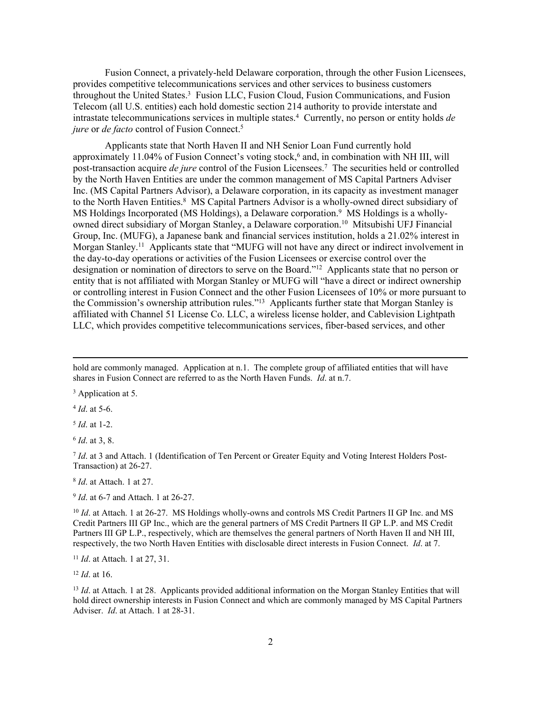Fusion Connect, a privately-held Delaware corporation, through the other Fusion Licensees, provides competitive telecommunications services and other services to business customers throughout the United States.<sup>3</sup> Fusion LLC, Fusion Cloud, Fusion Communications, and Fusion Telecom (all U.S. entities) each hold domestic section 214 authority to provide interstate and intrastate telecommunications services in multiple states.<sup>4</sup> Currently, no person or entity holds *de jure* or *de facto* control of Fusion Connect.<sup>5</sup>

Applicants state that North Haven II and NH Senior Loan Fund currently hold approximately 11.04% of Fusion Connect's voting stock,<sup>6</sup> and, in combination with NH III, will post-transaction acquire *de jure* control of the Fusion Licensees.<sup>7</sup> The securities held or controlled by the North Haven Entities are under the common management of MS Capital Partners Adviser Inc. (MS Capital Partners Advisor), a Delaware corporation, in its capacity as investment manager to the North Haven Entities.<sup>8</sup> MS Capital Partners Advisor is a wholly-owned direct subsidiary of MS Holdings Incorporated (MS Holdings), a Delaware corporation.<sup>9</sup> MS Holdings is a whollyowned direct subsidiary of Morgan Stanley, a Delaware corporation.<sup>10</sup> Mitsubishi UFJ Financial Group, Inc. (MUFG), a Japanese bank and financial services institution, holds a 21.02% interest in Morgan Stanley.<sup>11</sup> Applicants state that "MUFG will not have any direct or indirect involvement in the day-to-day operations or activities of the Fusion Licensees or exercise control over the designation or nomination of directors to serve on the Board."<sup>12</sup> Applicants state that no person or entity that is not affiliated with Morgan Stanley or MUFG will "have a direct or indirect ownership or controlling interest in Fusion Connect and the other Fusion Licensees of 10% or more pursuant to the Commission's ownership attribution rules."<sup>13</sup> Applicants further state that Morgan Stanley is affiliated with Channel 51 License Co. LLC, a wireless license holder, and Cablevision Lightpath LLC, which provides competitive telecommunications services, fiber-based services, and other

<sup>3</sup> Application at 5.

4 *Id*. at 5-6.

5 *Id*. at 1-2.

6 *Id*. at 3, 8.

7 *Id*. at 3 and Attach. 1 (Identification of Ten Percent or Greater Equity and Voting Interest Holders Post-Transaction) at 26-27.

8 *Id*. at Attach. 1 at 27.

9 *Id*. at 6-7 and Attach. 1 at 26-27.

<sup>10</sup> *Id.* at Attach. 1 at 26-27. MS Holdings wholly-owns and controls MS Credit Partners II GP Inc. and MS Credit Partners III GP Inc., which are the general partners of MS Credit Partners II GP L.P. and MS Credit Partners III GP L.P., respectively, which are themselves the general partners of North Haven II and NH III, respectively, the two North Haven Entities with disclosable direct interests in Fusion Connect. *Id*. at 7.

<sup>11</sup> *Id*. at Attach. 1 at 27, 31.

<sup>12</sup> *Id*. at 16.

<sup>13</sup> *Id.* at Attach. 1 at 28. Applicants provided additional information on the Morgan Stanley Entities that will hold direct ownership interests in Fusion Connect and which are commonly managed by MS Capital Partners Adviser. *Id*. at Attach. 1 at 28-31.

hold are commonly managed. Application at n.1. The complete group of affiliated entities that will have shares in Fusion Connect are referred to as the North Haven Funds. *Id*. at n.7.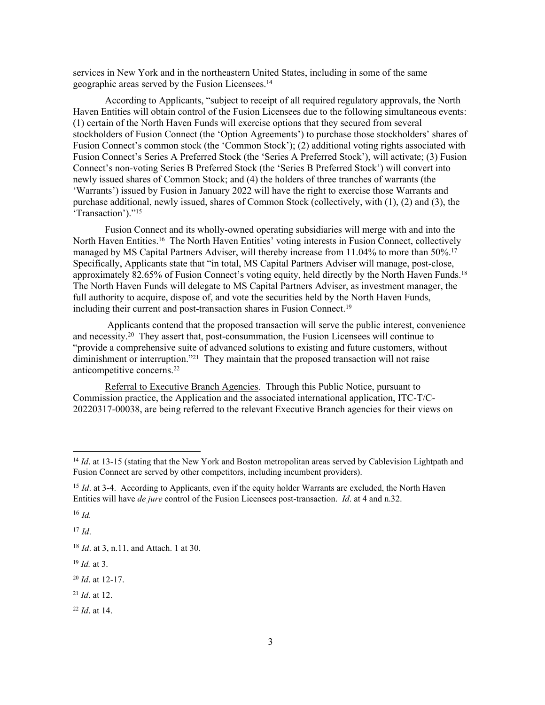services in New York and in the northeastern United States, including in some of the same geographic areas served by the Fusion Licensees.<sup>14</sup>

According to Applicants, "subject to receipt of all required regulatory approvals, the North Haven Entities will obtain control of the Fusion Licensees due to the following simultaneous events: (1) certain of the North Haven Funds will exercise options that they secured from several stockholders of Fusion Connect (the 'Option Agreements') to purchase those stockholders' shares of Fusion Connect's common stock (the 'Common Stock'); (2) additional voting rights associated with Fusion Connect's Series A Preferred Stock (the 'Series A Preferred Stock'), will activate; (3) Fusion Connect's non-voting Series B Preferred Stock (the 'Series B Preferred Stock') will convert into newly issued shares of Common Stock; and (4) the holders of three tranches of warrants (the 'Warrants') issued by Fusion in January 2022 will have the right to exercise those Warrants and purchase additional, newly issued, shares of Common Stock (collectively, with (1), (2) and (3), the 'Transaction')."<sup>15</sup>

Fusion Connect and its wholly-owned operating subsidiaries will merge with and into the North Haven Entities.<sup>16</sup> The North Haven Entities' voting interests in Fusion Connect, collectively managed by MS Capital Partners Adviser, will thereby increase from 11.04% to more than 50%.<sup>17</sup> Specifically, Applicants state that "in total, MS Capital Partners Adviser will manage, post-close, approximately 82.65% of Fusion Connect's voting equity, held directly by the North Haven Funds.<sup>18</sup> The North Haven Funds will delegate to MS Capital Partners Adviser, as investment manager, the full authority to acquire, dispose of, and vote the securities held by the North Haven Funds, including their current and post-transaction shares in Fusion Connect.<sup>19</sup>

 Applicants contend that the proposed transaction will serve the public interest, convenience and necessity.<sup>20</sup> They assert that, post-consummation, the Fusion Licensees will continue to "provide a comprehensive suite of advanced solutions to existing and future customers, without diminishment or interruption."<sup>21</sup> They maintain that the proposed transaction will not raise anticompetitive concerns.<sup>22</sup>

Referral to Executive Branch Agencies. Through this Public Notice, pursuant to Commission practice, the Application and the associated international application, ITC-T/C-20220317-00038, are being referred to the relevant Executive Branch agencies for their views on

<sup>16</sup> *Id.*

<sup>17</sup> *Id*.

- <sup>21</sup> *Id*. at 12.
- <sup>22</sup> *Id*. at 14.

<sup>&</sup>lt;sup>14</sup> *Id.* at 13-15 (stating that the New York and Boston metropolitan areas served by Cablevision Lightpath and Fusion Connect are served by other competitors, including incumbent providers).

<sup>&</sup>lt;sup>15</sup> *Id.* at 3-4. According to Applicants, even if the equity holder Warrants are excluded, the North Haven Entities will have *de jure* control of the Fusion Licensees post-transaction. *Id*. at 4 and n.32.

<sup>18</sup> *Id*. at 3, n.11, and Attach. 1 at 30.

<sup>19</sup> *Id.* at 3.

<sup>20</sup> *Id*. at 12-17.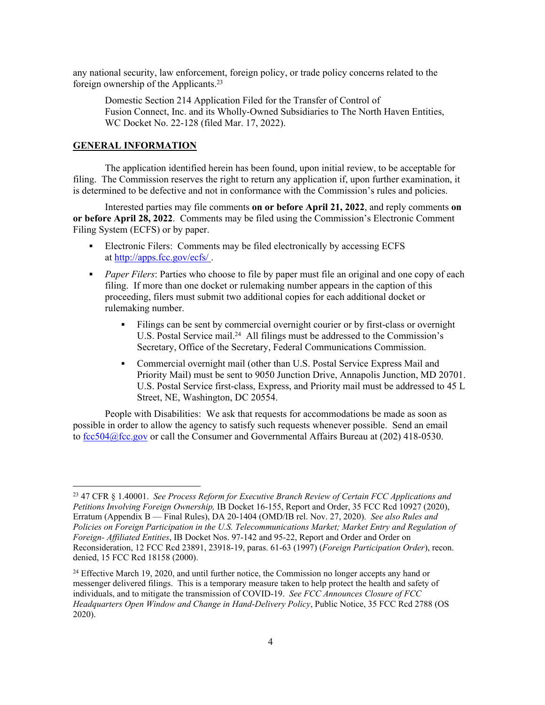any national security, law enforcement, foreign policy, or trade policy concerns related to the foreign ownership of the Applicants.<sup>23</sup>

Domestic Section 214 Application Filed for the Transfer of Control of Fusion Connect, Inc. and its Wholly-Owned Subsidiaries to The North Haven Entities, WC Docket No. 22-128 (filed Mar. 17, 2022).

### **GENERAL INFORMATION**

The application identified herein has been found, upon initial review, to be acceptable for filing. The Commission reserves the right to return any application if, upon further examination, it is determined to be defective and not in conformance with the Commission's rules and policies.

Interested parties may file comments **on or before April 21, 2022**, and reply comments **on or before April 28, 2022**. Comments may be filed using the Commission's Electronic Comment Filing System (ECFS) or by paper.

- Electronic Filers: Comments may be filed electronically by accessing ECFS at <http://apps.fcc.gov/ecfs/> .
- **Paper Filers:** Parties who choose to file by paper must file an original and one copy of each filing. If more than one docket or rulemaking number appears in the caption of this proceeding, filers must submit two additional copies for each additional docket or rulemaking number.
	- Filings can be sent by commercial overnight courier or by first-class or overnight U.S. Postal Service mail.<sup>24</sup> All filings must be addressed to the Commission's Secretary, Office of the Secretary, Federal Communications Commission.
	- Commercial overnight mail (other than U.S. Postal Service Express Mail and Priority Mail) must be sent to 9050 Junction Drive, Annapolis Junction, MD 20701. U.S. Postal Service first-class, Express, and Priority mail must be addressed to 45 L Street, NE, Washington, DC 20554.

People with Disabilities: We ask that requests for accommodations be made as soon as possible in order to allow the agency to satisfy such requests whenever possible. Send an email to [fcc504@fcc.gov](mailto:fcc504@fcc.gov) or call the Consumer and Governmental Affairs Bureau at (202) 418-0530.

<sup>23</sup> 47 CFR § 1.40001. *See Process Reform for Executive Branch Review of Certain FCC Applications and Petitions Involving Foreign Ownership,* IB Docket 16-155, Report and Order, 35 FCC Rcd 10927 (2020), Erratum (Appendix B — Final Rules), DA 20-1404 (OMD/IB rel. Nov. 27, 2020). *See also Rules and Policies on Foreign Participation in the U.S. Telecommunications Market; Market Entry and Regulation of Foreign- Affiliated Entities*, IB Docket Nos. 97-142 and 95-22, Report and Order and Order on Reconsideration, 12 FCC Rcd 23891, 23918-19, paras. 61-63 (1997) (*Foreign Participation Order*), recon. denied, 15 FCC Rcd 18158 (2000).

<sup>&</sup>lt;sup>24</sup> Effective March 19, 2020, and until further notice, the Commission no longer accepts any hand or messenger delivered filings. This is a temporary measure taken to help protect the health and safety of individuals, and to mitigate the transmission of COVID-19. *See FCC Announces Closure of FCC Headquarters Open Window and Change in Hand-Delivery Policy*, Public Notice, 35 FCC Rcd 2788 (OS 2020).